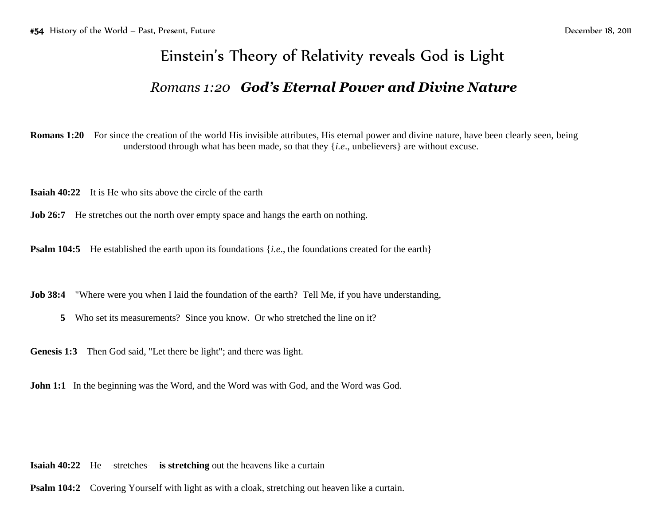## Einstein's Theory of Relativity reveals God is Light

## *Romans 1:20 God's Eternal Power and Divine Nature*

**Romans 1:20** For since the creation of the world His invisible attributes, His eternal power and divine nature, have been clearly seen, being understood through what has been made, so that they {*i.e*., unbelievers} are without excuse.

**Isaiah 40:22** It is He who sits above the circle of the earth

**Job 26:7** He stretches out the north over empty space and hangs the earth on nothing.

**Psalm 104:5** He established the earth upon its foundations {*i.e.*, the foundations created for the earth}

**Job 38:4** "Where were you when I laid the foundation of the earth? Tell Me, if you have understanding,

**5** Who set its measurements? Since you know. Or who stretched the line on it?

**Genesis 1:3** Then God said, "Let there be light"; and there was light.

**John 1:1** In the beginning was the Word, and the Word was with God, and the Word was God.

**Isaiah 40:22** He stretches is stretching out the heavens like a curtain

**Psalm 104:2** Covering Yourself with light as with a cloak, stretching out heaven like a curtain.